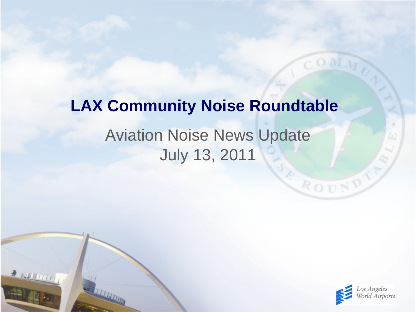# Aviation Noise News Update July 13, 2011 **LAX Community Noise Roundtable**

 $\rightarrow$  running



ROUND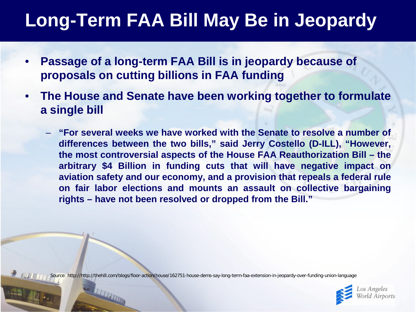## **Long-Term FAA Bill May Be in Jeopardy**

- **Passage of a long-term FAA Bill is in jeopardy because of proposals on cutting billions in FAA funding**
- **The House and Senate have been working together to formulate a single bill**
	- **"For several weeks we have worked with the Senate to resolve a number of differences between the two bills," said Jerry Costello (D-ILL), "However, the most controversial aspects of the House FAA Reauthorization Bill – the arbitrary \$4 Billion in funding cuts that will have negative impact on aviation safety and our economy, and a provision that repeals a federal rule on fair labor elections and mounts an assault on collective bargaining rights – have not been resolved or dropped from the Bill."**

Source: http://http://thehill.com/blogs/floor-action/house/162751-house-dems-say-long-term-faa-extension-in-jeopardy-over-funding-union-language

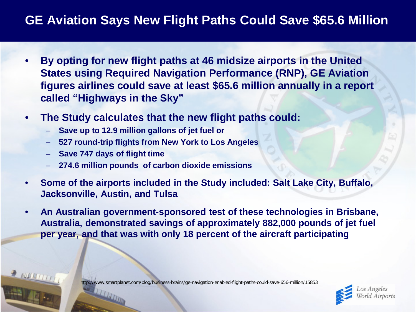### **GE Aviation Says New Flight Paths Could Save \$65.6 Million**

- **By opting for new flight paths at 46 midsize airports in the United States using Required Navigation Performance (RNP), GE Aviation figures airlines could save at least \$65.6 million annually in a report called "Highways in the Sky"**
- **The Study calculates that the new flight paths could:**
	- **Save up to 12.9 million gallons of jet fuel or**
	- **527 round-trip flights from New York to Los Angeles**
	- **Save 747 days of flight time**
	- **274.6 million pounds of carbon dioxide emissions**
- **Some of the airports included in the Study included: Salt Lake City, Buffalo, Jacksonville, Austin, and Tulsa**
- **An Australian government-sponsored test of these technologies in Brisbane, Australia, demonstrated savings of approximately 882,000 pounds of jet fuel per year, and that was with only 18 percent of the aircraft participating**

http://www.smartplanet.com/blog/business-brains/ge-navigation-enabled-flight-paths-could-save-656-million/15853

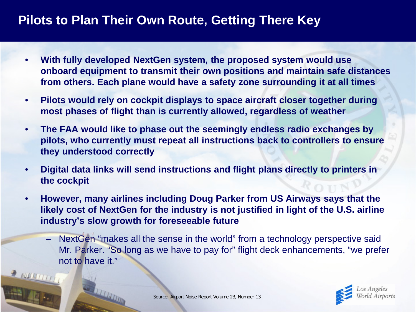#### **Pilots to Plan Their Own Route, Getting There Key**

- **With fully developed NextGen system, the proposed system would use onboard equipment to transmit their own positions and maintain safe distances from others. Each plane would have a safety zone surrounding it at all times**
- **Pilots would rely on cockpit displays to space aircraft closer together during most phases of flight than is currently allowed, regardless of weather**
- **The FAA would like to phase out the seemingly endless radio exchanges by pilots, who currently must repeat all instructions back to controllers to ensure they understood correctly**
- **Digital data links will send instructions and flight plans directly to printers in the cockpit**
- **However, many airlines including Doug Parker from US Airways says that the likely cost of NextGen for the industry is not justified in light of the U.S. airline industry's slow growth for foreseeable future**
	- NextGen "makes all the sense in the world" from a technology perspective said Mr. Parker. "So long as we have to pay for" flight deck enhancements, "we prefer not to have it."

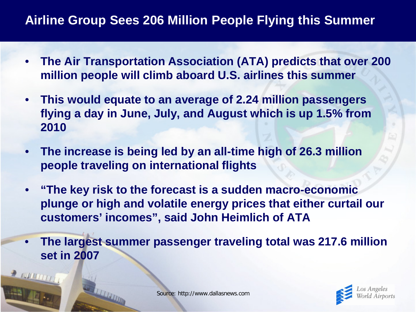### **Airline Group Sees 206 Million People Flying this Summer**

- **The Air Transportation Association (ATA) predicts that over 200 million people will climb aboard U.S. airlines this summer**
- **This would equate to an average of 2.24 million passengers flying a day in June, July, and August which is up 1.5% from 2010**
- **The increase is being led by an all-time high of 26.3 million people traveling on international flights**
- **"The key risk to the forecast is a sudden macro-economic plunge or high and volatile energy prices that either curtail our customers' incomes", said John Heimlich of ATA**
- **The largest summer passenger traveling total was 217.6 million set in 2007**

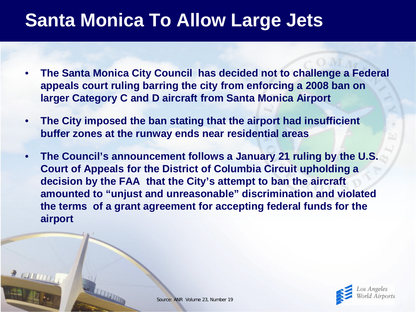### **Santa Monica To Allow Large Jets**

- **The Santa Monica City Council has decided not to challenge a Federal appeals court ruling barring the city from enforcing a 2008 ban on larger Category C and D aircraft from Santa Monica Airport**
- **The City imposed the ban stating that the airport had insufficient buffer zones at the runway ends near residential areas**
- **The Council's announcement follows a January 21 ruling by the U.S. Court of Appeals for the District of Columbia Circuit upholding a decision by the FAA that the City's attempt to ban the aircraft amounted to "unjust and unreasonable" discrimination and violated the terms of a grant agreement for accepting federal funds for the airport**

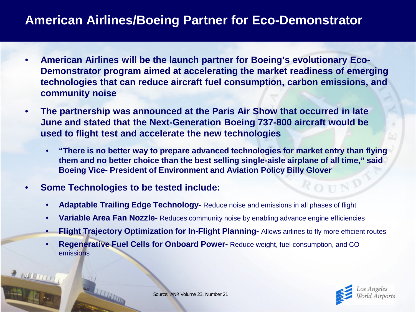#### **American Airlines/Boeing Partner for Eco-Demonstrator**

- **American Airlines will be the launch partner for Boeing's evolutionary Eco-Demonstrator program aimed at accelerating the market readiness of emerging technologies that can reduce aircraft fuel consumption, carbon emissions, and community noise**
- **The partnership was announced at the Paris Air Show that occurred in late June and stated that the Next-Generation Boeing 737-800 aircraft would be used to flight test and accelerate the new technologies**
	- **"There is no better way to prepare advanced technologies for market entry than flying them and no better choice than the best selling single-aisle airplane of all time," said Boeing Vice- President of Environment and Aviation Policy Billy Glover**
- **Some Technologies to be tested include:**
	- **Adaptable Trailing Edge Technology-** Reduce noise and emissions in all phases of flight
	- **Variable Area Fan Nozzle-** Reduces community noise by enabling advance engine efficiencies
	- **Flight Trajectory Optimization for In-Flight Planning-** Allows airlines to fly more efficient routes
	- **Regenerative Fuel Cells for Onboard Power-** Reduce weight, fuel consumption, and CO emissions

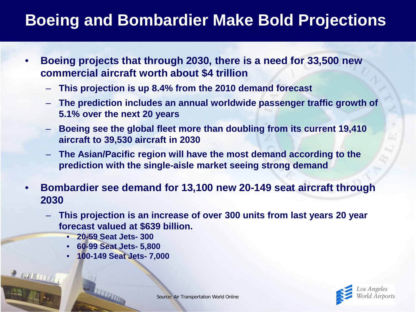### **Boeing and Bombardier Make Bold Projections**

- **Boeing projects that through 2030, there is a need for 33,500 new commercial aircraft worth about \$4 trillion**
	- **This projection is up 8.4% from the 2010 demand forecast**
	- **The prediction includes an annual worldwide passenger traffic growth of 5.1% over the next 20 years**
	- **Boeing see the global fleet more than doubling from its current 19,410 aircraft to 39,530 aircraft in 2030**
	- **The Asian/Pacific region will have the most demand according to the prediction with the single-aisle market seeing strong demand**
- **Bombardier see demand for 13,100 new 20-149 seat aircraft through 2030**
	- **This projection is an increase of over 300 units from last years 20 year forecast valued at \$639 billion.**
		- **20-59 Seat Jets- 300**
		- **60-99 Seat Jets- 5,800**
		- **100-149 Seat Jets- 7,000**

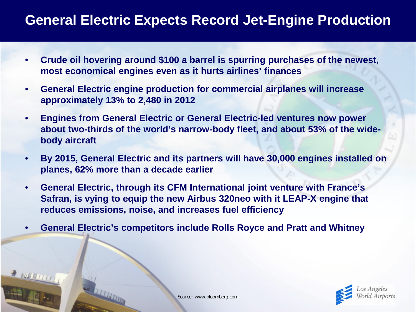### **General Electric Expects Record Jet-Engine Production**

- **Crude oil hovering around \$100 a barrel is spurring purchases of the newest, most economical engines even as it hurts airlines' finances**
- **General Electric engine production for commercial airplanes will increase approximately 13% to 2,480 in 2012**
- **Engines from General Electric or General Electric-led ventures now power about two-thirds of the world's narrow-body fleet, and about 53% of the widebody aircraft**
- **By 2015, General Electric and its partners will have 30,000 engines installed on planes, 62% more than a decade earlier**
- **General Electric, through its CFM International joint venture with France's Safran, is vying to equip the new Airbus 320neo with it LEAP-X engine that reduces emissions, noise, and increases fuel efficiency**
- **General Electric's competitors include Rolls Royce and Pratt and Whitney**